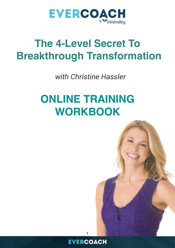

*with Christine Hassler*

# **ONLINE TRAINING WORKBOOK**





1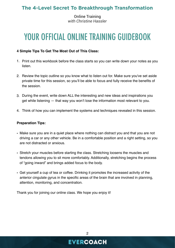Online Training *with Christine Hassler*

## YOUR OFFICIAL ONLINE TRAINING GUIDEBOOK

#### **4 Simple Tips To Get The Most Out of This Class:**

- 1. Print out this workbook before the class starts so you can write down your notes as you listen.
- 2. Review the topic outline so you know what to listen out for. Make sure you've set aside private time for this session, so you'll be able to focus and fully receive the benefits of the session.
- 3. During the event, write down ALL the interesting and new ideas and inspirations you get while listening — that way you won't lose the information most relevant to you.
- 4. Think of how you can implement the systems and techniques revealed in this session.

#### **Preparation Tips:**

- Make sure you are in a quiet place where nothing can distract you and that you are not driving a car or any other vehicle. Be in a comfortable position and a right setting, so you are not distracted or anxious.
- Stretch your muscles before starting the class. Stretching loosens the muscles and tendons allowing you to sit more comfortably. Additionally, stretching begins the process of "going inward" and brings added focus to the body.
- Get yourself a cup of tea or coffee. Drinking it promotes the increased activity of the anterior cingulate gyrus in the specific areas of the brain that are involved in planning, attention, monitoring, and concentration.

Thank you for joining our online class. We hope you enjoy it!

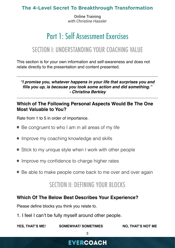Online Training *with Christine Hassler*

## Part 1: Self Assessment Exercises

## SECTION I: UNDERSTANDING YOUR COACHING VALUE

This section is for your own information and self-awareness and does not relate directly to the presentation and content presented.

*"I promise you, whatever happens in your life that surprises you and fills you up, is because you took some action and did something." - Christina Berkley*

\_\_\_\_\_\_\_\_\_\_\_\_\_\_\_\_\_\_\_\_\_\_\_\_\_\_\_\_\_\_\_\_\_\_\_\_\_\_\_\_\_\_\_\_\_\_\_\_\_\_\_\_\_\_\_\_\_\_\_\_\_\_\_\_\_\_\_\_\_\_\_\_

\_\_\_\_\_\_\_\_\_\_\_\_\_\_\_\_\_\_\_\_\_\_\_\_\_\_\_\_\_\_\_\_\_\_\_\_\_\_\_\_\_\_\_\_\_\_\_\_\_\_\_\_\_\_\_\_\_\_\_\_\_\_\_\_\_\_\_\_\_\_\_\_

#### **Which of The Following Personal Aspects Would Be The One Most Valuable to You?**

Rate from 1 to 5 in order of importance.

- Be congruent to who I am in all areas of my life
- Improve my coaching knowledge and skills
- Stick to my unique style when I work with other people
- Improve my confidence to charge higher rates
- Be able to make people come back to me over and over again

## SECTION II: DEFINING YOUR BLOCKS

#### **Which Of The Below Best Describes Your Experience?**

Please define blocks you think you relate to.

1. I feel I can't be fully myself around other people.

YES, THAT'S ME! SOMEWHAT/ SOMETIMES NO, THAT'S NOT ME

3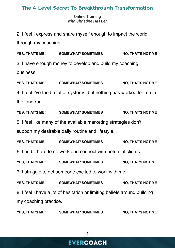Online Training *with Christine Hassler*

2. I feel I express and share myself enough to impact the world through my coaching.

YES, THAT'S ME! SOMEWHAT/ SOMETIMES NO, THAT'S NOT ME 3. I have enough money to develop and build my coaching business.

YES, THAT'S ME! SOMEWHAT/ SOMETIMES NO, THAT'S NOT ME 4. I feel I've tried a lot of systems, but nothing has worked for me in the long run.

YES, THAT'S ME! SOMEWHAT/ SOMETIMES NO, THAT'S NOT ME 5. I feel like many of the available marketing strategies don't support my desirable daily routine and lifestyle.

YES, THAT'S ME! SOMEWHAT/ SOMETIMES NO, THAT'S NOT ME 6. I find it hard to network and connect with potential clients.

YES, THAT'S ME! SOMEWHAT/ SOMETIMES NO, THAT'S NOT ME

7. I struggle to get someone excited to work with me.

YES, THAT'S ME! SOMEWHAT/ SOMETIMES NO, THAT'S NOT ME 8. I feel I have a lot of hesitation or limiting beliefs around building my coaching practice.

YES, THAT'S ME! SOMEWHAT/ SOMETIMES NO, THAT'S NOT ME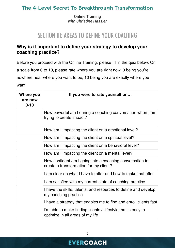Online Training *with Christine Hassler*

## SECTION III: AREAS TO DEFINE YOUR COACHING

#### **Why is it important to define your strategy to develop your coaching practice?**

Before you proceed with the Online Training, please fill in the quiz below. On a scale from 0 to 10, please rate where you are right now. 0 being you're nowhere near where you want to be, 10 being you are exactly where you want.

| Where you<br>are now<br>$0 - 10$ | If you were to rate yourself on                                                                    |
|----------------------------------|----------------------------------------------------------------------------------------------------|
|                                  | How powerful am I during a coaching conversation when I am<br>trying to create impact?             |
|                                  | How am I impacting the client on a emotional level?                                                |
|                                  | How am I impacting the client on a spiritual level?                                                |
|                                  | How am I impacting the client on a behavioral level?                                               |
|                                  | How am I impacting the client on a mental level?                                                   |
|                                  | How confident am I going into a coaching conversation to<br>create a transformation for my client? |
|                                  | I am clear on what I have to offer and how to make that offer                                      |
|                                  | I am satisfied with my current state of coaching practice                                          |
|                                  | I have the skills, talents, and resources to define and develop<br>my coaching practice            |
|                                  | I have a strategy that enables me to find and enroll clients fast                                  |
|                                  | I'm able to make finding clients a lifestyle that is easy to<br>optimize in all areas of my life   |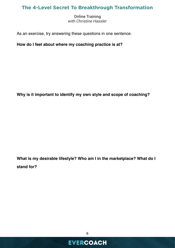Online Training *with Christine Hassler*

As an exercise, try answering these questions in one sentence.

**How do I feel about where my coaching practice is at?** 

**Why is it important to identify my own style and scope of coaching?**

**What is my desirable lifestyle? Who am I in the marketplace? What do I stand for?**

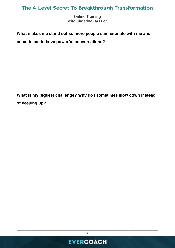Online Training *with Christine Hassler*

#### **What makes me stand out so more people can resonate with me and**

**come to me to have powerful conversations?**

**What is my biggest challenge? Why do I sometimes slow down instead of keeping up?** 



\_\_\_\_\_\_\_\_\_\_\_\_\_\_\_\_\_\_\_\_\_\_\_\_\_\_\_\_\_\_\_\_\_\_\_\_\_\_\_\_\_\_\_\_\_\_\_\_\_\_\_\_\_\_\_\_\_\_\_\_\_\_\_\_\_\_\_\_\_\_\_\_ 7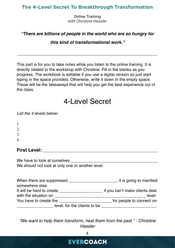Online Training *with Christine Hassler*

#### *"There are billions of people in the world who are so hungry for*

*this kind of transformational work."*

*\_\_\_\_\_\_\_\_\_\_\_\_\_\_\_\_\_\_\_\_\_\_\_\_\_\_\_\_\_\_\_\_\_\_\_\_\_\_\_\_\_\_\_\_\_\_\_\_\_\_\_\_\_\_\_\_\_*

This part is for you to take notes while you listen to the online training. It is directly related to the workshop with Christine. Fill in the blanks as you progress. The workbook is editable if you use a digital version so just start typing in the space provided. Otherwise, write it down in the empty space. These will be the takeaways that will help you get the best experience out of the class.

## 4-Level Secret

*List the 4 levels below:*

1.

2.

3.

4*.*

#### **First Level: and the set of the set of the set of the set of the set of the set of the set of the set of the set of the set of the set of the set of the set of the set of the set of the set of the set of the set of the**

We have to look at ourselves We should not look at only one or another level.

| When there are suppressed    | tit is going to manifest       |  |
|------------------------------|--------------------------------|--|
| somewhere else.              |                                |  |
| It will be hard to create    | if you can't make clients deal |  |
| with the situation on        | level.                         |  |
| You have to create the       | for people to connect on       |  |
| level, for the clients to be |                                |  |

*"We want to help them transform, heal them from the past." - Christine Hassler*

8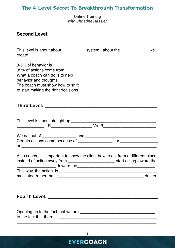Online Training *with Christine Hassler*

| This level is about about _____________ system, about the _____________ we<br>create.                                                                             |
|-------------------------------------------------------------------------------------------------------------------------------------------------------------------|
|                                                                                                                                                                   |
|                                                                                                                                                                   |
|                                                                                                                                                                   |
| behavior and thoughts.                                                                                                                                            |
|                                                                                                                                                                   |
| to start making the right decisions.                                                                                                                              |
|                                                                                                                                                                   |
|                                                                                                                                                                   |
|                                                                                                                                                                   |
|                                                                                                                                                                   |
|                                                                                                                                                                   |
|                                                                                                                                                                   |
| Certain actions come because of ________________, or ______________,                                                                                              |
| As a coach, it is important to show the client how to act from a different place:<br>instead of acting away from _______________________, start acting toward the |
|                                                                                                                                                                   |
|                                                                                                                                                                   |
|                                                                                                                                                                   |
|                                                                                                                                                                   |
|                                                                                                                                                                   |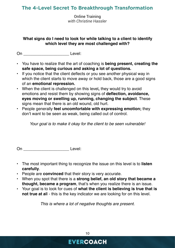Online Training *with Christine Hassler*

#### **What signs do I need to look for while talking to a client to identify which level they are most challenged with?**

On **Level:** 

- You have to realize that the art of coaching is **being present, creating the safe space, being curious and asking a lot of questions.**
- If you notice that the client deflects or you see another physical way in which the client starts to move away or hold back, those are a good signs of an **emotional repression.**
- When the client is challenged on this level**,** they would try to avoid emotions and resist them by showing signs of **deflection, avoidance, eyes moving or swelling up, running, changing the subject**. These signs mean that there is an old wound, old hurt.
- People generally **feel uncomfortable with expressing emotion;** they don't want to be seen as weak, being called out of control.

*Your goal is to make it okay for the client to be seen vulnerable!*

On \_\_\_\_\_\_\_\_\_\_\_\_\_\_\_\_\_\_\_\_ Level:

- The most important thing to recognize the issue on this level is to **listen carefully**.
- People are **convinced** that their story is very accurate.
- When you spot that there is a **strong belief, an old story that became a thought, became a program**, that's when you realize there is an issue.
- Your goal is to look for cues of **what the client is believing is true that is not true at al**l - this is the key indicator we are looking for on this level.

*This is where a lot of negative thoughts are present.*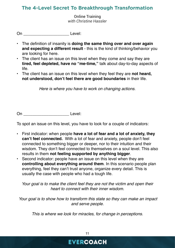Online Training *with Christine Hassler*

On \_\_\_\_\_\_\_\_\_\_\_\_\_\_\_\_\_\_\_\_ Level:

- The definition of insanity is **doing the same thing over and over again and expecting a different result** - this is the kind of thinking/behavior you are looking for here.
- The client has an issue on this level when they come and say they are **tired, feel depleted, have no "me-time,"** talk about day-to-day aspects of life.
- The client has an issue on this level when they feel they are **not heard, not understood, don't feel there are good boundaries** in their life.

*Here is where you have to work on changing actions.* 

On \_\_\_\_\_\_\_\_\_\_\_\_\_\_\_\_\_\_\_\_ Level:

To spot an issue on this level, you have to look for a couple of indicators:

- First indicator: when people **have a lot of fear and a lot of anxiety, they can't feel connected.** With a lot of fear and anxiety, people don't feel connected to something bigger or deeper, nor to their intuition and their wisdom. They don't feel connected to themselves on a soul level. This also results in them **not feeling supported by anything bigger**.
- Second indicator: people have an issue on this level when they are **controlling about everything around them**. In this scenario people plan everything, feel they can't trust anyone, organize every detail. This is usually the case with people who had a tough life.

*Your goal is to make the client feel they are not the victim and open their heart to connect with their inner wisdom.*

 *Your goal is to show how to transform this state so they can make an impact and serve people.*

*This is where we look for miracles, for change in perceptions.*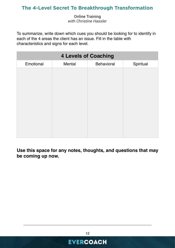Online Training *with Christine Hassler*

To summarize, write down which cues you should be looking for to identify in each of the 4 areas the client has an issue. Fill in the table with characteristics and signs for each level.

| <b>4 Levels of Coaching</b> |        |                   |           |  |  |  |
|-----------------------------|--------|-------------------|-----------|--|--|--|
| Emotional                   | Mental | <b>Behavioral</b> | Spiritual |  |  |  |
|                             |        |                   |           |  |  |  |
|                             |        |                   |           |  |  |  |
|                             |        |                   |           |  |  |  |
|                             |        |                   |           |  |  |  |
|                             |        |                   |           |  |  |  |
|                             |        |                   |           |  |  |  |
|                             |        |                   |           |  |  |  |
|                             |        |                   |           |  |  |  |
|                             |        |                   |           |  |  |  |
|                             |        |                   |           |  |  |  |

**Use this space for any notes, thoughts, and questions that may be coming up now.** 

**EVERCOACH** 

\_\_\_\_\_\_\_\_\_\_\_\_\_\_\_\_\_\_\_\_\_\_\_\_\_\_\_\_\_\_\_\_\_\_\_\_\_\_\_\_\_\_\_\_\_\_\_\_\_\_\_\_\_\_\_\_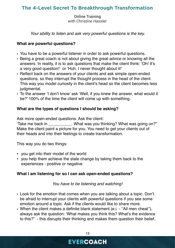Online Training *with Christine Hassler*

*Your* a*bility to listen and ask very powerful questions is the key.*

#### **What are powerful questions?**

- You have to be a powerful listener in order to ask powerful questions.
- Being a great coach is not about giving the great advice or knowing all the answers. In reality, it is to ask questions that make the client think: 'Oh! It's a very good question!' or 'Huh, I never thought about it!'
- Reflect back on the answers of your clients and ask simple open-ended questions, so they interrupt the thought process in the head of the client. This way you model curiosity in the client's head so the client becomes less judgmental.
- To the answer 'I don't know' ask 'Well, if you knew the answer, what would it be?' 100% of the time the client will come up with something.

#### **What are the types of questions I should be asking?**

Ask more open-ended questions. Ask the client:

'Take me back in \_\_\_\_\_\_\_\_\_\_. What was you thinking? What was going on?" Make the client paint a picture for you. You need to get your clients out of their heads and into their feelings to create transformation.

This way you do two things:

- you get into their model of the world
- you help them achieve the state change by taking them back to the experiences - positive or negative

#### **What I am listening for so I can ask open-ended questions?**

*You have to be listening and watching!*

- Look for the emotion that comes when you are talking about a topic. Don't be afraid to interrupt your clients with powerful questions if you see some emotion around a topic. Ask if the clients would like to share more.
- When the client makes a definite blank statement (e.i. ''All men cheat''), always ask the question: 'What makes you think this? What's the evidence to this?" - this disrupts their thinking and makes them question their belief.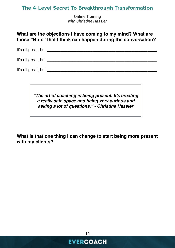Online Training *with Christine Hassler*

**What are the objections I have coming to my mind? What are those "Buts" that I think can happen during the conversation?** 

It's all great, but **It's** all great, but **It's** all great the state of  $\mathbb{R}$ 

It's all great, but **Exercise 20** and the set of the set of the set of the set of the set of the set of the set of the set of the set of the set of the set of the set of the set of the set of the set of the set of the set

It's all great, but **Exercise 20** and  $\mathbf{I}$  is a set of  $\mathbf{I}$  is a set of  $\mathbf{I}$  is a set of  $\mathbf{I}$  is a set of  $\mathbf{I}$  is a set of  $\mathbf{I}$  is a set of  $\mathbf{I}$  is a set of  $\mathbf{I}$  is a set of  $\mathbf{I}$  is a se

*"The art of coaching is being present. It's creating a really safe space and being very curious and asking a lot of questions." - Christine Hassler*

**What is that one thing I can change to start being more present with my clients?** 



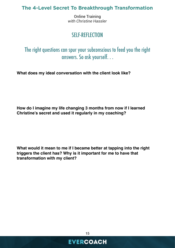Online Training *with Christine Hassler*

### SELF-REFLECTION

The right questions can spur your subconscious to feed you the right answers. So ask yourself. . .

**What does my ideal conversation with the client look like?**

**How do I imagine my life changing 3 months from now if I learned Christine's secret and used it regularly in my coaching?**

**What would it mean to me if I became better at tapping into the right triggers the client has? Why is it important for me to have that transformation with my client?**



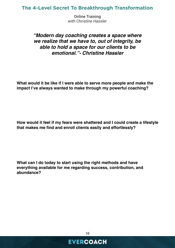Online Training *with Christine Hassler*

#### *"Modern day coaching creates a space where we realize that we have to, out of integrity, be able to hold a space for our clients to be emotional."- Christine Hassler*

**What would it be like if I were able to serve more people and make the impact I've always wanted to make through my powerful coaching?**

**How would it feel if my fears were shattered and I could create a lifestyle that makes me find and enroll clients easily and effortlessly?** 

**What can I do today to start using the right methods and have everything available for me regarding success, contribution, and abundance?** 

16